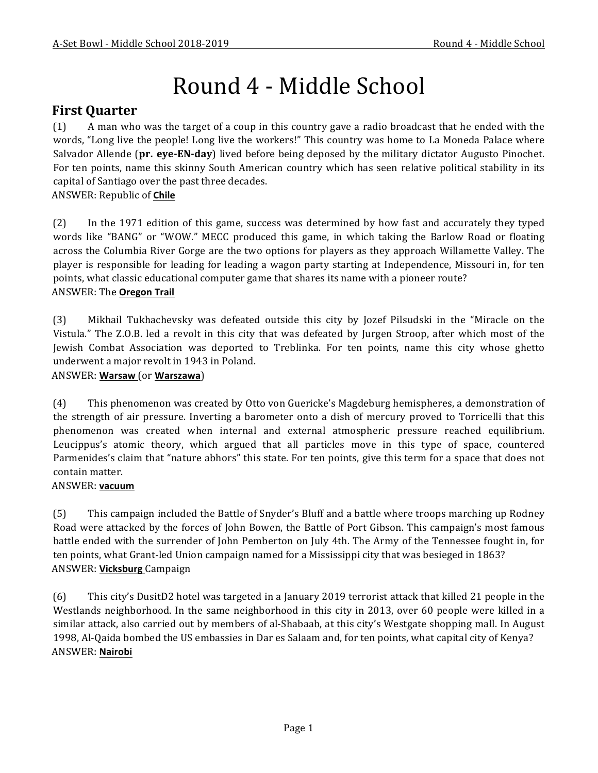# Round 4 - Middle School

# **First Quarter**

(1) A man who was the target of a coup in this country gave a radio broadcast that he ended with the words, "Long live the people! Long live the workers!" This country was home to La Moneda Palace where Salvador Allende (pr. eye-EN-day) lived before being deposed by the military dictator Augusto Pinochet. For ten points, name this skinny South American country which has seen relative political stability in its capital of Santiago over the past three decades.

```
ANSWER:	Republic	of	Chile
```
(2) In the 1971 edition of this game, success was determined by how fast and accurately they typed words like "BANG" or "WOW." MECC produced this game, in which taking the Barlow Road or floating across the Columbia River Gorge are the two options for players as they approach Willamette Valley. The player is responsible for leading for leading a wagon party starting at Independence, Missouri in, for ten points, what classic educational computer game that shares its name with a pioneer route? **ANSWER: The Oregon Trail** 

(3) Mikhail Tukhachevsky was defeated outside this city by Jozef Pilsudski in the "Miracle on the Vistula." The Z.O.B. led a revolt in this city that was defeated by Jurgen Stroop, after which most of the Jewish Combat Association was deported to Treblinka. For ten points, name this city whose ghetto underwent a major revolt in 1943 in Poland.

### ANSWER: **Warsaw** (or **Warszawa**)

(4) This phenomenon was created by Otto von Guericke's Magdeburg hemispheres, a demonstration of the strength of air pressure. Inverting a barometer onto a dish of mercury proved to Torricelli that this phenomenon was created when internal and external atmospheric pressure reached equilibrium. Leucippus's atomic theory, which argued that all particles move in this type of space, countered Parmenides's claim that "nature abhors" this state. For ten points, give this term for a space that does not contain matter.

### ANSWER: **vacuum**

(5) This campaign included the Battle of Snyder's Bluff and a battle where troops marching up Rodney Road were attacked by the forces of John Bowen, the Battle of Port Gibson. This campaign's most famous battle ended with the surrender of John Pemberton on July 4th. The Army of the Tennessee fought in, for ten points, what Grant-led Union campaign named for a Mississippi city that was besieged in 1863? ANSWER: **Vicksburg** Campaign

(6) This city's DusitD2 hotel was targeted in a January 2019 terrorist attack that killed 21 people in the Westlands neighborhood. In the same neighborhood in this city in 2013, over 60 people were killed in a similar attack, also carried out by members of al-Shabaab, at this city's Westgate shopping mall. In August 1998, Al-Qaida bombed the US embassies in Dar es Salaam and, for ten points, what capital city of Kenya? ANSWER: **Nairobi**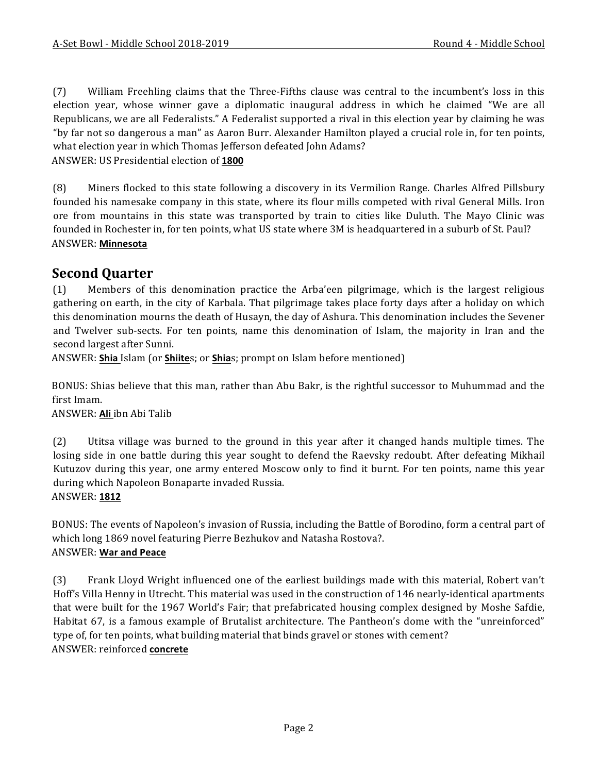(7) William Freehling claims that the Three-Fifths clause was central to the incumbent's loss in this election year, whose winner gave a diplomatic inaugural address in which he claimed "We are all Republicans, we are all Federalists." A Federalist supported a rival in this election year by claiming he was "by far not so dangerous a man" as Aaron Burr. Alexander Hamilton played a crucial role in, for ten points, what election year in which Thomas Jefferson defeated John Adams?

ANSWER: US Presidential election of **1800**

(8) Miners flocked to this state following a discovery in its Vermilion Range. Charles Alfred Pillsbury founded his namesake company in this state, where its flour mills competed with rival General Mills. Iron ore from mountains in this state was transported by train to cities like Duluth. The Mayo Clinic was founded in Rochester in, for ten points, what US state where 3M is headquartered in a suburb of St. Paul? ANSWER: **Minnesota**

# **Second Quarter**

(1) Members of this denomination practice the Arba'een pilgrimage, which is the largest religious gathering on earth, in the city of Karbala. That pilgrimage takes place forty days after a holiday on which this denomination mourns the death of Husayn, the day of Ashura. This denomination includes the Sevener and Twelver sub-sects. For ten points, name this denomination of Islam, the majority in Iran and the second largest after Sunni.

ANSWER: **Shia** Islam (or **Shiite**s; or **Shia**s; prompt on Islam before mentioned)

BONUS: Shias believe that this man, rather than Abu Bakr, is the rightful successor to Muhummad and the first Imam.

ANSWER: Ali ibn Abi Talib

(2) Utitsa village was burned to the ground in this year after it changed hands multiple times. The losing side in one battle during this year sought to defend the Raevsky redoubt. After defeating Mikhail Kutuzov during this year, one army entered Moscow only to find it burnt. For ten points, name this year during which Napoleon Bonaparte invaded Russia. ANSWER: **1812**

BONUS: The events of Napoleon's invasion of Russia, including the Battle of Borodino, form a central part of which long 1869 novel featuring Pierre Bezhukov and Natasha Rostova?. ANSWER: **War and Peace**

(3) Frank Lloyd Wright influenced one of the earliest buildings made with this material, Robert van't Hoff's Villa Henny in Utrecht. This material was used in the construction of 146 nearly-identical apartments that were built for the 1967 World's Fair; that prefabricated housing complex designed by Moshe Safdie, Habitat 67, is a famous example of Brutalist architecture. The Pantheon's dome with the "unreinforced" type of, for ten points, what building material that binds gravel or stones with cement? ANSWER: reinforced **concrete**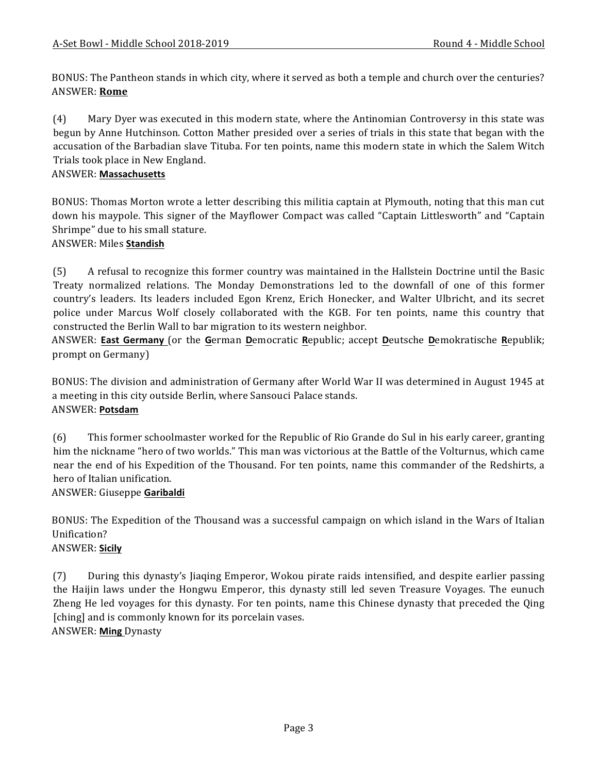BONUS: The Pantheon stands in which city, where it served as both a temple and church over the centuries? ANSWER: **Rome**

(4) Mary Dyer was executed in this modern state, where the Antinomian Controversy in this state was begun by Anne Hutchinson. Cotton Mather presided over a series of trials in this state that began with the accusation of the Barbadian slave Tituba. For ten points, name this modern state in which the Salem Witch Trials took place in New England.

### ANSWER: **Massachusetts**

BONUS: Thomas Morton wrote a letter describing this militia captain at Plymouth, noting that this man cut down his maypole. This signer of the Mayflower Compact was called "Captain Littlesworth" and "Captain Shrimpe" due to his small stature.

#### ANSWER: Miles **Standish**

(5) A refusal to recognize this former country was maintained in the Hallstein Doctrine until the Basic Treaty normalized relations. The Monday Demonstrations led to the downfall of one of this former country's leaders. Its leaders included Egon Krenz, Erich Honecker, and Walter Ulbricht, and its secret police under Marcus Wolf closely collaborated with the KGB. For ten points, name this country that constructed the Berlin Wall to bar migration to its western neighbor.

ANSWER: **East Germany** (or the German Democratic Republic; accept Deutsche Demokratische Republik; prompt on Germany)

BONUS: The division and administration of Germany after World War II was determined in August 1945 at a meeting in this city outside Berlin, where Sansouci Palace stands. ANSWER: **Potsdam**

(6) This former schoolmaster worked for the Republic of Rio Grande do Sul in his early career, granting him the nickname "hero of two worlds." This man was victorious at the Battle of the Volturnus, which came near the end of his Expedition of the Thousand. For ten points, name this commander of the Redshirts, a hero of Italian unification.

#### ANSWER: Giuseppe **Garibaldi**

BONUS: The Expedition of the Thousand was a successful campaign on which island in the Wars of Italian Unification?

## ANSWER: **Sicily**

(7) During this dynasty's Jiaqing Emperor, Wokou pirate raids intensified, and despite earlier passing the Haijin laws under the Hongwu Emperor, this dynasty still led seven Treasure Voyages. The eunuch Zheng He led voyages for this dynasty. For ten points, name this Chinese dynasty that preceded the Qing [ching] and is commonly known for its porcelain vases. ANSWER: **Ming** Dynasty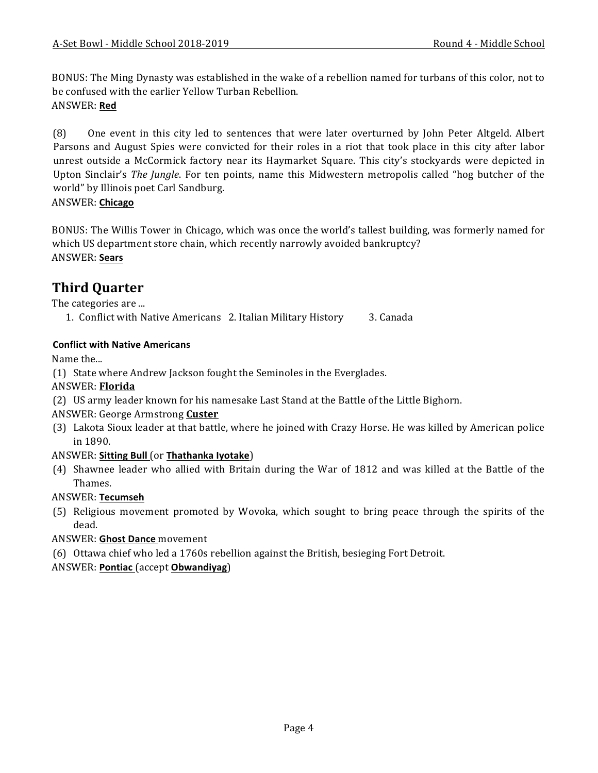BONUS: The Ming Dynasty was established in the wake of a rebellion named for turbans of this color, not to be confused with the earlier Yellow Turban Rebellion. ANSWER: **Red**

(8) One event in this city led to sentences that were later overturned by John Peter Altgeld. Albert Parsons and August Spies were convicted for their roles in a riot that took place in this city after labor unrest outside a McCormick factory near its Haymarket Square. This city's stockyards were depicted in Upton Sinclair's *The Jungle*. For ten points, name this Midwestern metropolis called "hog butcher of the world" by Illinois poet Carl Sandburg.

### ANSWER: **Chicago**

BONUS: The Willis Tower in Chicago, which was once the world's tallest building, was formerly named for which US department store chain, which recently narrowly avoided bankruptcy? ANSWER: **Sears**

# **Third Quarter**

The categories are ...

1. Conflict with Native Americans 2. Italian Military History 3. Canada

# **Conflict with Native Americans**

Name the...

(1) State where Andrew Jackson fought the Seminoles in the Everglades.

# ANSWER: **Florida**

(2) US army leader known for his namesake Last Stand at the Battle of the Little Bighorn.

# ANSWER: George Armstrong **Custer**

(3) Lakota Sioux leader at that battle, where he joined with Crazy Horse. He was killed by American police in 1890.

# ANSWER: **Sitting Bull** (or Thathanka Iyotake)

(4) Shawnee leader who allied with Britain during the War of 1812 and was killed at the Battle of the Thames.

# ANSWER: **Tecumseh**

(5) Religious movement promoted by Wovoka, which sought to bring peace through the spirits of the dead.

### **ANSWER: Ghost Dance movement**

(6) Ottawa chief who led a 1760s rebellion against the British, besieging Fort Detroit.

ANSWER: **Pontiac** (accept **Obwandiyag**)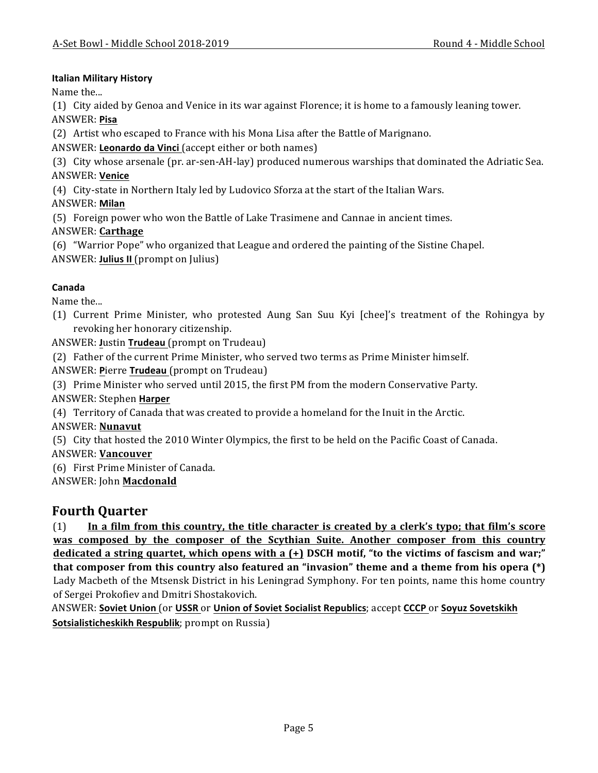### **Italian Military History**

Name the...

(1) City aided by Genoa and Venice in its war against Florence; it is home to a famously leaning tower. ANSWER: **Pisa**

(2) Artist who escaped to France with his Mona Lisa after the Battle of Marignano.

ANSWER: Leonardo da Vinci (accept either or both names)

(3) City whose arsenale (pr. ar-sen-AH-lay) produced numerous warships that dominated the Adriatic Sea. ANSWER: **Venice**

(4) City-state in Northern Italy led by Ludovico Sforza at the start of the Italian Wars.

ANSWER: **Milan**

(5) Foreign power who won the Battle of Lake Trasimene and Cannae in ancient times.

ANSWER: **Carthage**

(6) "Warrior Pope" who organized that League and ordered the painting of the Sistine Chapel. ANSWER: **Julius II** (prompt on Julius)

## **Canada**

Name the...

(1) Current Prime Minister, who protested Aung San Suu Kyi [chee]'s treatment of the Rohingya by revoking her honorary citizenship.

ANSWER: Justin Trudeau (prompt on Trudeau)

(2) Father of the current Prime Minister, who served two terms as Prime Minister himself.

ANSWER: Pierre Trudeau (prompt on Trudeau)

(3) Prime Minister who served until 2015, the first PM from the modern Conservative Party.

ANSWER: Stephen **Harper**

(4) Territory of Canada that was created to provide a homeland for the Inuit in the Arctic.

ANSWER: **Nunavut**

(5) City that hosted the 2010 Winter Olympics, the first to be held on the Pacific Coast of Canada.

ANSWER: **Vancouver**

(6) First Prime Minister of Canada.

ANSWER: John **Macdonald**

# **Fourth Quarter**

(1) In a film from this country, the title character is created by a clerk's typo; that film's score was composed by the composer of the Scythian Suite. Another composer from this country **dedicated a string quartet, which opens with a (+) DSCH motif, "to the victims of fascism and war;" that composer from this country also featured an "invasion" theme and a theme from his opera (\*)** Lady Macbeth of the Mtsensk District in his Leningrad Symphony. For ten points, name this home country of Sergei Prokofiev and Dmitri Shostakovich.

ANSWER: Soviet Union (or USSR or Union of Soviet Socialist Republics; accept CCCP or Soyuz Sovetskikh **Sotsialisticheskikh Respublik**; prompt on Russia)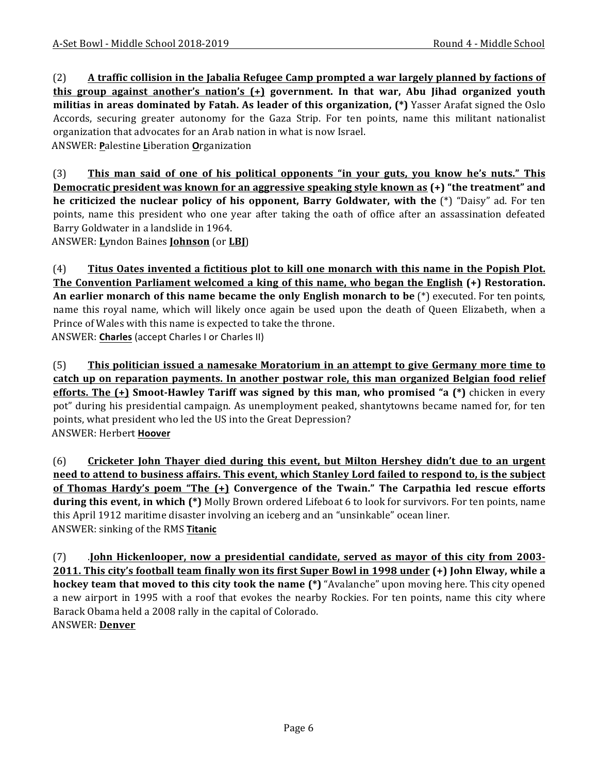(2) **A** traffic collision in the Jabalia Refugee Camp prompted a war largely planned by factions of **this group against another's nation's (+) government. In that war, Abu Jihad organized youth militias in areas dominated by Fatah. As leader of this organization, (\*)** Yasser Arafat signed the Oslo Accords, securing greater autonomy for the Gaza Strip. For ten points, name this militant nationalist organization that advocates for an Arab nation in what is now Israel.

ANSWER: **P**alestine **L**iberation **O**rganization

(3) **This man said of one of his political opponents "in your guts, you know he's nuts." This Democratic president was known for an aggressive speaking style known as (+) "the treatment" and he criticized the nuclear policy of his opponent, Barry Goldwater, with the (\*) "Daisy" ad. For ten** points, name this president who one year after taking the oath of office after an assassination defeated Barry Goldwater in a landslide in 1964.

ANSWER: **L**yndon Baines **Johnson** (or **LBJ**)

(4) Titus Oates invented a fictitious plot to kill one monarch with this name in the Popish Plot. **The Convention Parliament welcomed a king of this name, who began the English (+) Restoration. An earlier monarch of this name became the only English monarch to be** (\*) executed. For ten points, name this royal name, which will likely once again be used upon the death of Queen Elizabeth, when a Prince of Wales with this name is expected to take the throne. ANSWER: Charles (accept Charles I or Charles II)

(5) This politician issued a namesake Moratorium in an attempt to give Germany more time to **catch up on reparation payments. In another postwar role, this man organized Belgian food relief efforts.** The (+) Smoot-Hawley Tariff was signed by this man, who promised "a (\*) chicken in every pot" during his presidential campaign. As unemployment peaked, shantytowns became named for, for ten points, what president who led the US into the Great Depression? ANSWER: Herbert **Hoover**

(6) Cricketer John Thayer died during this event, but Milton Hershey didn't due to an urgent **need to attend to business affairs. This event, which Stanley Lord failed to respond to, is the subject of Thomas Hardy's poem "The (+)** Convergence of the Twain." The Carpathia led rescue efforts **during this event, in which (\*)** Molly Brown ordered Lifeboat 6 to look for survivors. For ten points, name this April 1912 maritime disaster involving an iceberg and an "unsinkable" ocean liner. ANSWER: sinking of the RMS Titanic

(7) **. John Hickenlooper, now a presidential candidate, served as mayor of this city from 2003-2011.** This city's football team finally won its first Super Bowl in 1998 under (+) John Elway, while a **hockey team that moved to this city took the name (\*)** "Avalanche" upon moving here. This city opened a new airport in 1995 with a roof that evokes the nearby Rockies. For ten points, name this city where Barack Obama held a 2008 rally in the capital of Colorado. ANSWER: **Denver**